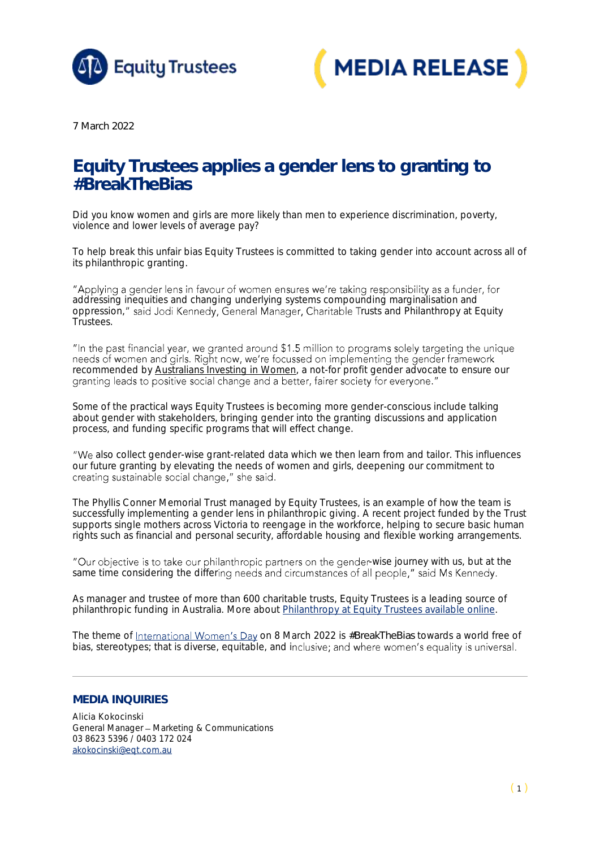



*7 March 2022*

## Equity Trustees applies a gender lens to granting to *#BreakTheBias*

Did you know women and girls are more likely than men to experience discrimination, poverty, violence and lower levels of average pay?

To help break this unfair bias Equity Trustees is committed to taking gender into account across all of its philanthropic granting.

"Applying a gender lens in favour of women ensures we're taking responsibility as a funder, for addressing inequities and changing underlying systems compounding marginalisation and oppression," said Jodi Kennedy, General Manager, Charitable Trusts and Philanthropy at Equity Trustees.

"In the past financial year, we granted around \$1.5 million to programs solely targeting the unique needs of women and girls. Right now, we're focussed on implementing the gender framework recommended by Australians [Investing in Women,](https://www.aiiw.org.au/) a not-for profit gender advocate to ensure our granting leads to positive social change and a better, fairer society for everyone."

Some of the practical ways Equity Trustees is becoming more gender-conscious include talking about gender with stakeholders, bringing gender into the granting discussions and application process, and funding specific programs that will effect change.

"We also collect gender-wise grant-related data which we then learn from and tailor. This influences our future granting by elevating the needs of women and girls, deepening our commitment to creating sustainable social change," she said.

The Phyllis Conner Memorial Trust managed by Equity Trustees, is an example of how the team is successfully implementing a gender lens in philanthropic giving. A recent project funded by the Trust supports single mothers across Victoria to reengage in the workforce, helping to secure basic human rights such as financial and personal security, affordable housing and flexible working arrangements.

"Our objective is to take our philanthropic partners on the gender-wise journey with us, but at the same time considering the differing needs and circumstances of all people," said Ms Kennedy.

As manager and trustee of more than 600 charitable trusts, Equity Trustees is a leading source of philanthropic funding in Australia. More about [Philanthropy at Equity Trustees available online.](https://www.eqt.com.au/philanthropy)

Thetheme of International Women's Day on 8 March 2022 is #BreakTheBias towards a world free of bias, stereotypes; that is diverse, equitable, and inclusive; and where women's equality is universal.

## **MEDIA INQUIRIES**

Alicia Kokocinski General Manager - Marketing & Communications 03 8623 5396 / 0403 172 024 [akokocinski@eqt.com.au](mailto:akokocinski@eqt.com.au)